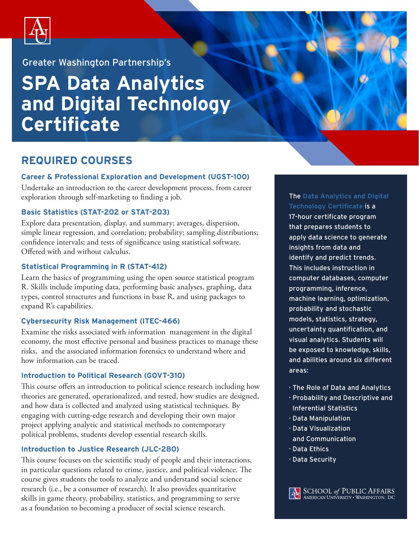

Greater Washington Partnership's

# **SPA Data Analytics and Digital Technology Certificate**

### **REQUIRED COURSES**

#### **Career & Professional Exploration and Development (UGST-100)**

Undertake an introduction to the career development process, from career exploration through self-marketing to finding a job.

#### **Basic Statistics (STAT-202 or STAT-203)**

Explore data presentation, display, and summary; averages, dispersion, simple linear regression, and correlation; probability; sampling distributions; confidence intervals; and tests of significance using statistical software. Offered with and without calculus.

#### **Statistical Programming in R (STAT-412)**

Learn the basics of programming using the open source statistical program R. Skills include imputing data, performing basic analyses, graphing, data types, control structures and functions in base R, and using packages to expand R's capabilities.

#### **Cybersecurity Risk Management (ITEC-466)**

Examine the risks associated with information management in the digital economy, the most effective personal and business practices to manage these risks, and the associated information forensics to understand where and how information can be traced.

#### **Introduction to Political Research (GOVT-310)**

This course offers an introduction to political science research including how theories are generated, operationalized, and tested, how studies are designed, and how data is collected and analyzed using statistical techniques. By engaging with cutting-edge research and developing their own major project applying analytic and statistical methods to contemporary political problems, students develop essential research skills.

#### **Introduction to Justice Research (JLC-280)**

This course focuses on the scientific study of people and their interactions, in particular questions related to crime, justice, and political violence. The course gives students the tools to analyze and understand social science research (i.e., be a consumer of research). It also provides quantitative skills in game theory, probability, statistics, and programming to serve as a foundation to becoming a producer of social science research.

#### The **Data Analytics and Digital Technology Certificate** is a

17-hour certificate program that prepares students to apply data science to generate insights from data and identify and predict trends. This includes instruction in computer databases, computer programming, inference, machine learning, optimization, probability and stochastic models, statistics, strategy, uncertainty quantification, and visual analytics. Students will be exposed to knowledge, skills, and abilities around six different areas:

- · The Role of Data and Analytics
- · Probability and Descriptive and Inferential Statistics
- · Data Manipulation
- · Data Visualization and Communication
- · Data Ethics
- · Data Security